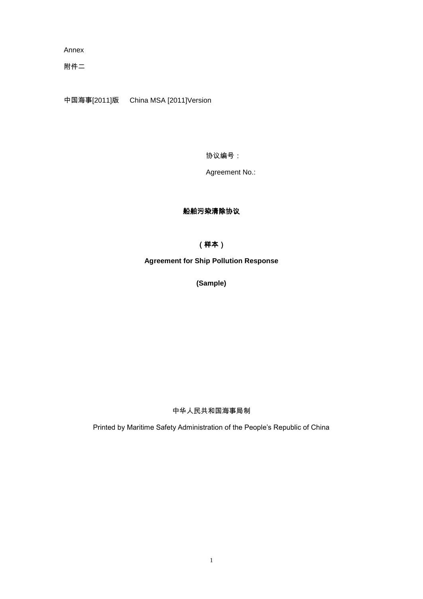Annex

附件二

中国海事[2011]版 China MSA [2011]Version

协议编号:

Agreement No.:

## 船舶污染清除协议

# (样本)

**Agreement for Ship Pollution Response** 

**(Sample)**

## 中华人民共和国海事局制

Printed by Maritime Safety Administration of the People's Republic of China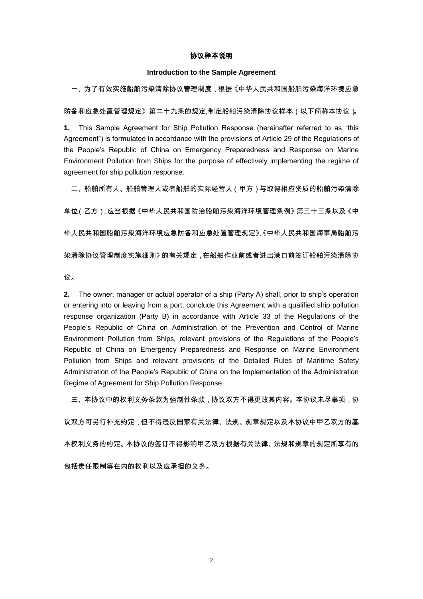### 协议样本说明

#### **Introduction to the Sample Agreement**

一、为了有效实施船舶污染清除协议管理制度,根据《中华人民共和国船舶污染海洋环境应急

防备和应急处置管理规定》第二十九条的规定,制定船舶污染清除协议样本(以下简称本协议 )。

**1.** This Sample Agreement for Ship Pollution Response (hereinafter referred to as "this Agreement") is formulated in accordance with the provisions of Article 29 of the Regulations of the People's Republic of China on Emergency Preparedness and Response on Marine Environment Pollution from Ships for the purpose of effectively implementing the regime of agreement for ship pollution response.

二、船舶所有人、船舶管理人或者船舶的实际经营人(甲方)与取得相应资质的船舶污染清除

单位(乙方),应当根据《中华人民共和国防治船舶污染海洋环境管理条例》第三十三条以及《中

华人民共和国船舶污染海洋环境应急防备和应急处置管理规定》、《中华人民共和国海事局船舶污

染清除协议管理制度实施细则》的有关规定,在船舶作业前或者进出港口前签订船舶污染清除协

议。

**2.** The owner, manager or actual operator of a ship (Party A) shall, prior to ship's operation or entering into or leaving from a port, conclude this Agreement with a qualified ship pollution response organization (Party B) in accordance with Article 33 of the Regulations of the People's Republic of China on Administration of the Prevention and Control of Marine Environment Pollution from Ships, relevant provisions of the Regulations of the People's Republic of China on Emergency Preparedness and Response on Marine Environment Pollution from Ships and relevant provisions of the Detailed Rules of Maritime Safety Administration of the People's Republic of China on the Implementation of the Administration Regime of Agreement for Ship Pollution Response.

三、本协议中的权利义务条款为强制性条款,协议双方不得更改其内容。本协议未尽事项,协

议双方可另行补充约定,但不得违反国家有关法律、法规、规章规定以及本协议中甲乙双方的基

本权利义务的约定。本协议的签订不得影响甲乙双方根据有关法律、法规和规章的规定所享有的

包括责任限制等在内的权利以及应承担的义务。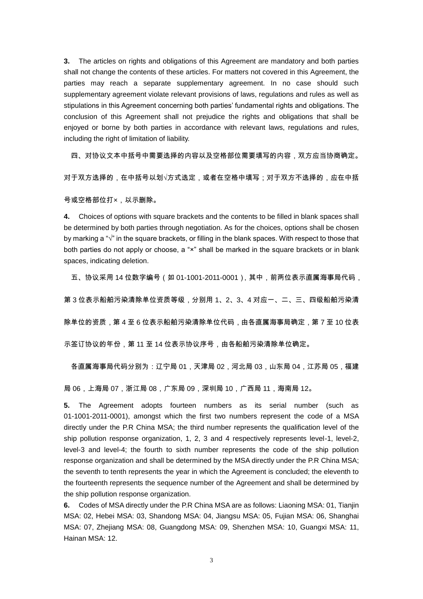**3.** The articles on rights and obligations of this Agreement are mandatory and both parties shall not change the contents of these articles. For matters not covered in this Agreement, the parties may reach a separate supplementary agreement. In no case should such supplementary agreement violate relevant provisions of laws, regulations and rules as well as stipulations in this Agreement concerning both parties' fundamental rights and obligations. The conclusion of this Agreement shall not prejudice the rights and obligations that shall be enjoyed or borne by both parties in accordance with relevant laws, regulations and rules, including the right of limitation of liability.

四、对协议文本中括号中需要选择的内容以及空格部位需要填写的内容,双方应当协商确定。

对于双方选择的,在中括号以划√方式选定,或者在空格中填写;对于双方不选择的,应在中括

号或空格部位打×,以示删除。

**4.** Choices of options with square brackets and the contents to be filled in blank spaces shall be determined by both parties through negotiation. As for the choices, options shall be chosen by marking a " $\sqrt{ }$ " in the square brackets, or filling in the blank spaces. With respect to those that both parties do not apply or choose, a "x" shall be marked in the square brackets or in blank spaces, indicating deletion.

五、协议采用 14 位数字编号(如 01-1001-2011-0001),其中,前两位表示直属海事局代码,

第 3 位表示船舶污染清除单位资质等级,分别用 1、2、3、4 对应一、二、三、四级船舶污染清

除单位的资质,第 4 至 6 位表示船舶污染清除单位代码,由各直属海事局确定,第 7 至 10 位表

示签订协议的年份,第 11 至 14 位表示协议序号,由各船舶污染清除单位确定。

各直属海事局代码分别为:辽宁局 01,天津局 02,河北局 03,山东局 04,江苏局 05,福建

局 06,上海局 07,浙江局 08,广东局 09,深圳局 10,广西局 11,海南局 12。

**5.** The Agreement adopts fourteen numbers as its serial number (such as 01-1001-2011-0001), amongst which the first two numbers represent the code of a MSA directly under the P.R China MSA; the third number represents the qualification level of the ship pollution response organization, 1, 2, 3 and 4 respectively represents level-1, level-2, level-3 and level-4; the fourth to sixth number represents the code of the ship pollution response organization and shall be determined by the MSA directly under the P.R China MSA; the seventh to tenth represents the year in which the Agreement is concluded; the eleventh to the fourteenth represents the sequence number of the Agreement and shall be determined by the ship pollution response organization.

**6.** Codes of MSA directly under the P.R China MSA are as follows: Liaoning MSA: 01, Tianjin MSA: 02, Hebei MSA: 03, Shandong MSA: 04, Jiangsu MSA: 05, Fujian MSA: 06, Shanghai MSA: 07, Zhejiang MSA: 08, Guangdong MSA: 09, Shenzhen MSA: 10, Guangxi MSA: 11, Hainan MSA: 12.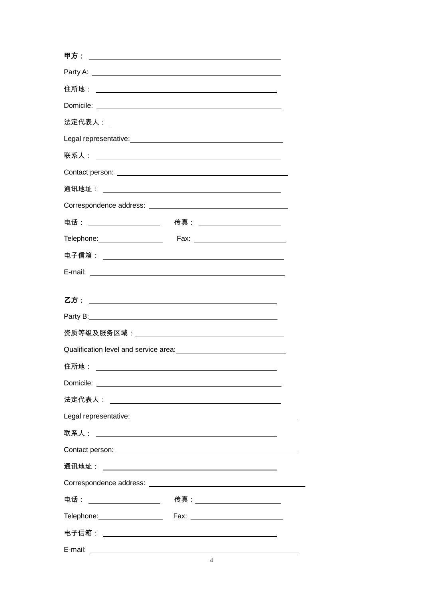| Party A: <u>Alexander Andrew American Communication</u>                                                                                                                                                                              |  |
|--------------------------------------------------------------------------------------------------------------------------------------------------------------------------------------------------------------------------------------|--|
|                                                                                                                                                                                                                                      |  |
|                                                                                                                                                                                                                                      |  |
|                                                                                                                                                                                                                                      |  |
|                                                                                                                                                                                                                                      |  |
|                                                                                                                                                                                                                                      |  |
|                                                                                                                                                                                                                                      |  |
|                                                                                                                                                                                                                                      |  |
| Correspondence address: National Correspondence address: National Correspondence and Correspondence and Correspondence and Correspondence and Correspondence and Correspondence and Correspondence and Correspondence and Corr       |  |
| 电话: ____________________  传真: ________________________                                                                                                                                                                               |  |
| Telephone: <u>Contract Contract Contract Contract Contract Contract Contract Contract Contract Contract Contract Contract Contract Contract Contract Contract Contract Contract Contract Contract Contract Contract Contract Con</u> |  |
|                                                                                                                                                                                                                                      |  |
|                                                                                                                                                                                                                                      |  |
|                                                                                                                                                                                                                                      |  |
|                                                                                                                                                                                                                                      |  |
|                                                                                                                                                                                                                                      |  |
|                                                                                                                                                                                                                                      |  |
|                                                                                                                                                                                                                                      |  |
|                                                                                                                                                                                                                                      |  |
|                                                                                                                                                                                                                                      |  |
|                                                                                                                                                                                                                                      |  |
|                                                                                                                                                                                                                                      |  |
|                                                                                                                                                                                                                                      |  |
|                                                                                                                                                                                                                                      |  |
|                                                                                                                                                                                                                                      |  |
|                                                                                                                                                                                                                                      |  |
| Telephone: Fax: 1                                                                                                                                                                                                                    |  |
|                                                                                                                                                                                                                                      |  |
| $\overline{A}$                                                                                                                                                                                                                       |  |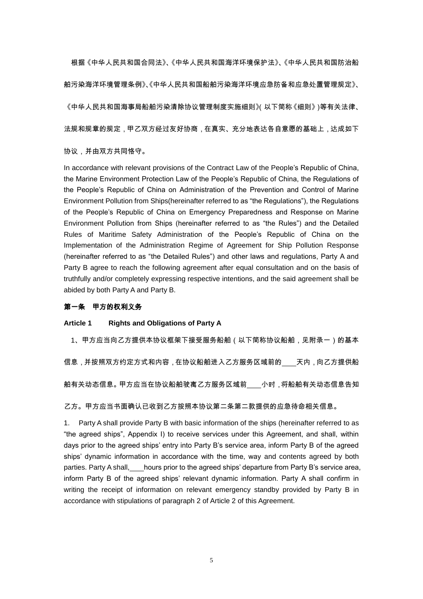根据《中华人民共和国合同法》、《中华人民共和国海洋环境保护法》、《中华人民共和国防治船 舶污染海洋环境管理条例》、《中华人民共和国船舶污染海洋环境应急防备和应急处置管理规定》、 《中华人民共和国海事局船舶污染清除协议管理制度实施细则》(以下简称《细则》)等有关法律、

法规和规章的规定,甲乙双方经过友好协商,在真实、充分地表达各自意愿的基础上,达成如下

## 协议,并由双方共同恪守。

In accordance with relevant provisions of the Contract Law of the People's Republic of China, the Marine Environment Protection Law of the People's Republic of China, the Regulations of the People's Republic of China on Administration of the Prevention and Control of Marine Environment Pollution from Ships(hereinafter referred to as "the Regulations"), the Regulations of the People's Republic of China on Emergency Preparedness and Response on Marine Environment Pollution from Ships (hereinafter referred to as "the Rules") and the Detailed Rules of Maritime Safety Administration of the People's Republic of China on the Implementation of the Administration Regime of Agreement for Ship Pollution Response (hereinafter referred to as "the Detailed Rules") and other laws and regulations, Party A and Party B agree to reach the following agreement after equal consultation and on the basis of truthfully and/or completely expressing respective intentions, and the said agreement shall be abided by both Party A and Party B.

## 第一条甲方的权利义务

## **Article 1 Rights and Obligations of Party A**

1、甲方应当向乙方提供本协议框架下接受服务船舶(以下简称协议船舶,见附录一)的基本

信息,并按照双方约定方式和内容,在协议船舶进入乙方服务区域前的 天内,向乙方提供船

舶有关动态信息。甲方应当在协议船舶驶离乙方服务区域前\_\_\_\_小时 ,将船舶有关动态信息告知

乙方。甲方应当书面确认已收到乙方按照本协议第二条第二款提供的应急待命相关信息。

1. Party A shall provide Party B with basic information of the ships (hereinafter referred to as "the agreed ships", Appendix I) to receive services under this Agreement, and shall, within days prior to the agreed ships' entry into Party B's service area, inform Party B of the agreed ships' dynamic information in accordance with the time, way and contents agreed by both parties. Party A shall, hours prior to the agreed ships' departure from Party B's service area, inform Party B of the agreed ships' relevant dynamic information. Party A shall confirm in writing the receipt of information on relevant emergency standby provided by Party B in accordance with stipulations of paragraph 2 of Article 2 of this Agreement.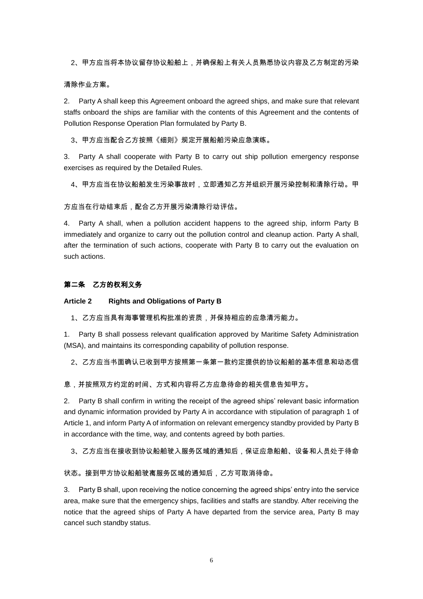2、甲方应当将本协议留存协议船舶上,并确保船上有关人员熟悉协议内容及乙方制定的污染

### 清除作业方案。

2. Party A shall keep this Agreement onboard the agreed ships, and make sure that relevant staffs onboard the ships are familiar with the contents of this Agreement and the contents of Pollution Response Operation Plan formulated by Party B.

3、甲方应当配合乙方按照《细则》规定开展船舶污染应急演练。

3. Party A shall cooperate with Party B to carry out ship pollution emergency response exercises as required by the Detailed Rules.

4、甲方应当在协议船舶发生污染事故时,立即通知乙方并组织开展污染控制和清除行动。甲

方应当在行动结束后,配合乙方开展污染清除行动评估。

4. Party A shall, when a pollution accident happens to the agreed ship, inform Party B immediately and organize to carry out the pollution control and cleanup action. Party A shall, after the termination of such actions, cooperate with Party B to carry out the evaluation on such actions.

## 第二条乙方的权利义务

#### **Article 2 Rights and Obligations of Party B**

1、乙方应当具有海事管理机构批准的资质,并保持相应的应急清污能力。

1. Party B shall possess relevant qualification approved by Maritime Safety Administration (MSA), and maintains its corresponding capability of pollution response.

2、乙方应当书面确认已收到甲方按照第一条第一款约定提供的协议船舶的基本信息和动态信

息,并按照双方约定的时间、方式和内容将乙方应急待命的相关信息告知甲方。

2. Party B shall confirm in writing the receipt of the agreed ships' relevant basic information and dynamic information provided by Party A in accordance with stipulation of paragraph 1 of Article 1, and inform Party A of information on relevant emergency standby provided by Party B in accordance with the time, way, and contents agreed by both parties.

3、乙方应当在接收到协议船舶驶入服务区域的通知后,保证应急船舶、设备和人员处于待命

#### 状态。接到甲方协议船舶驶离服务区域的通知后,乙方可取消待命。

3. Party B shall, upon receiving the notice concerning the agreed ships' entry into the service area, make sure that the emergency ships, facilities and staffs are standby. After receiving the notice that the agreed ships of Party A have departed from the service area, Party B may cancel such standby status.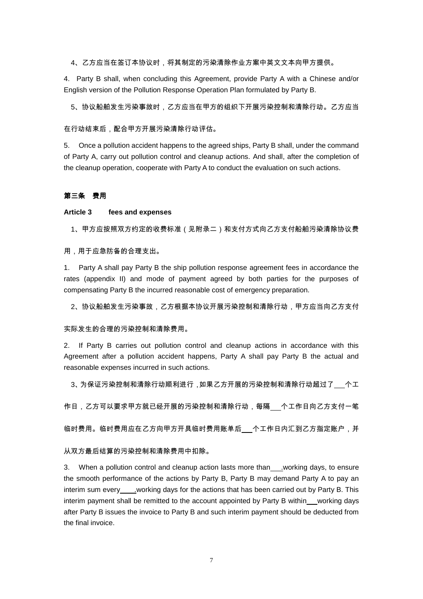4、乙方应当在签订本协议时,将其制定的污染清除作业方案中英文文本向甲方提供。

4. Party B shall, when concluding this Agreement, provide Party A with a Chinese and/or English version of the Pollution Response Operation Plan formulated by Party B.

5、协议船舶发生污染事故时,乙方应当在甲方的组织下开展污染控制和清除行动。乙方应当

#### 在行动结束后,配合甲方开展污染清除行动评估。

5. Once a pollution accident happens to the agreed ships, Party B shall, under the command of Party A, carry out pollution control and cleanup actions. And shall, after the completion of the cleanup operation, cooperate with Party A to conduct the evaluation on such actions.

#### 第三条费用

#### **Article 3 fees and expenses**

1、甲方应按照双方约定的收费标准(见附录二)和支付方式向乙方支付船舶污染清除协议费

用,用于应急防备的合理支出。

1. Party A shall pay Party B the ship pollution response agreement fees in accordance the rates (appendix II) and mode of payment agreed by both parties for the purposes of compensating Party B the incurred reasonable cost of emergency preparation.

2、协议船舶发生污染事故,乙方根据本协议开展污染控制和清除行动,甲方应当向乙方支付

#### 实际发生的合理的污染控制和清除费用。

2. If Party B carries out pollution control and cleanup actions in accordance with this Agreement after a pollution accident happens, Party A shall pay Party B the actual and reasonable expenses incurred in such actions.

3、为保证污染控制和清除行动顺利进行 ,如果乙方开展的污染控制和清除行动超过了\_\_\_个工

作日,乙方可以要求甲方就已经开展的污染控制和清除行动,每隔 个工作日向乙方支付一笔

临时费用。临时费用应在乙方向甲方开具临时费用账单后 个工作日内汇到乙方指定账户,并

#### 从双方最后结算的污染控制和清除费用中扣除。

3. When a pollution control and cleanup action lasts more than .working days, to ensure the smooth performance of the actions by Party B, Party B may demand Party A to pay an interim sum every\_\_\_\_\_working days for the actions that has been carried out by Party B. This interim payment shall be remitted to the account appointed by Party B within working days after Party B issues the invoice to Party B and such interim payment should be deducted from the final invoice.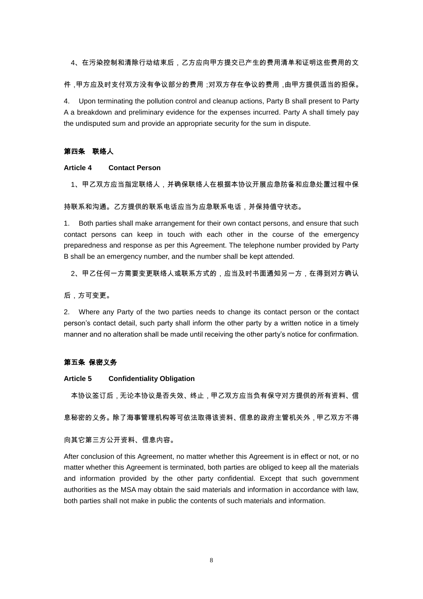4、在污染控制和清除行动结束后,乙方应向甲方提交已产生的费用清单和证明这些费用的文

件,甲方应及时支付双方没有争议部分的费用;对双方存在争议的费用,由甲方提供适当的担保。

4. Upon terminating the pollution control and cleanup actions, Party B shall present to Party A a breakdown and preliminary evidence for the expenses incurred. Party A shall timely pay the undisputed sum and provide an appropriate security for the sum in dispute.

### 第四条联络人

## **Article 4 Contact Person**

1、甲乙双方应当指定联络人,并确保联络人在根据本协议开展应急防备和应急处置过程中保

持联系和沟通。乙方提供的联系电话应当为应急联系电话,并保持值守状态。

1. Both parties shall make arrangement for their own contact persons, and ensure that such contact persons can keep in touch with each other in the course of the emergency preparedness and response as per this Agreement. The telephone number provided by Party B shall be an emergency number, and the number shall be kept attended.

2、甲乙任何一方需要变更联络人或联系方式的,应当及时书面通知另一方,在得到对方确认

后,方可变更。

2. Where any Party of the two parties needs to change its contact person or the contact person's contact detail, such party shall inform the other party by a written notice in a timely manner and no alteration shall be made until receiving the other party's notice for confirmation.

## 第五条 保密义务

#### **Article 5 Confidentiality Obligation**

本协议签订后,无论本协议是否失效、终止,甲乙双方应当负有保守对方提供的所有资料、信

息秘密的义务。除了海事管理机构等可依法取得该资料、信息的政府主管机关外,甲乙双方不得

向其它第三方公开资料、信息内容。

After conclusion of this Agreement, no matter whether this Agreement is in effect or not, or no matter whether this Agreement is terminated, both parties are obliged to keep all the materials and information provided by the other party confidential. Except that such government authorities as the MSA may obtain the said materials and information in accordance with law, both parties shall not make in public the contents of such materials and information.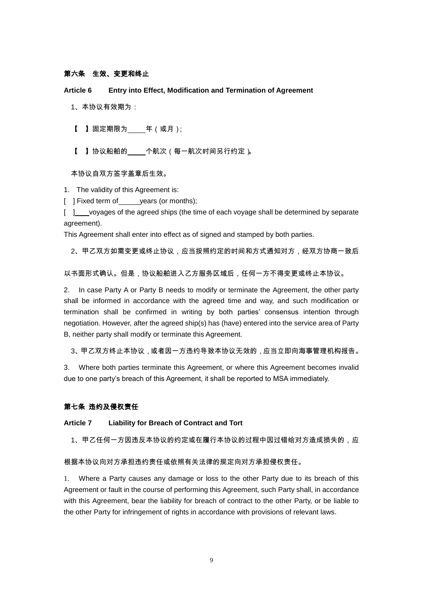## 第六条生效、变更和终止

**Article 6 Entry into Effect, Modification and Termination of Agreement**

- 1、本协议有效期为:
- 【 】固定期限为 年(或月);
- 【 】协议船舶的\_\_\_\_个航次(每一航次时间另行约定)。

本协议自双方签字盖章后生效。

1. The validity of this Agreement is:

[ ] Fixed term of years (or months);

[ ] voyages of the agreed ships (the time of each voyage shall be determined by separate agreement).

This Agreement shall enter into effect as of signed and stamped by both parties.

2、甲乙双方如需变更或终止协议,应当按照约定的时间和方式通知对方,经双方协商一致后

以书面形式确认。但是,协议船舶进入乙方服务区域后,任何一方不得变更或终止本协议。

2. In case Party A or Party B needs to modify or terminate the Agreement, the other party shall be informed in accordance with the agreed time and way, and such modification or termination shall be confirmed in writing by both parties' consensus intention through negotiation. However, after the agreed ship(s) has (have) entered into the service area of Party B, neither party shall modify or terminate this Agreement.

3、甲乙双方终止本协议 , 或者因一方违约导致本协议无效的 , 应当立即向海事管理机构报告。

3. Where both parties terminate this Agreement, or where this Agreement becomes invalid due to one party's breach of this Agreement, it shall be reported to MSA immediately.

### 第七条 违约及侵权责任

**Article 7 Liability for Breach of Contract and Tort**

1、甲乙任何一方因违反本协议的约定或在履行本协议的过程中因过错给对方造成损失的,应

#### 根据本协议向对方承担违约责任或依照有关法律的规定向对方承担侵权责任。

Where a Party causes any damage or loss to the other Party due to its breach of this Agreement or fault in the course of performing this Agreement, such Party shall, in accordance with this Agreement, bear the liability for breach of contract to the other Party, or be liable to the other Party for infringement of rights in accordance with provisions of relevant laws.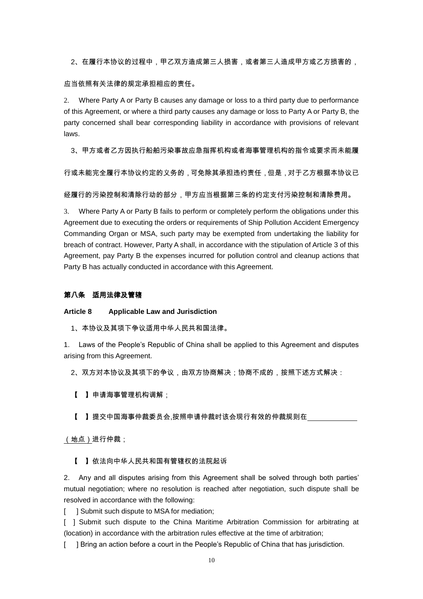2、在履行本协议的过程中,甲乙双方造成第三人损害,或者第三人造成甲方或乙方损害的,

#### 应当依照有关法律的规定承担相应的责任。

2. Where Party A or Party B causes any damage or loss to a third party due to performance of this Agreement, or where a third party causes any damage or loss to Party A or Party B, the party concerned shall bear corresponding liability in accordance with provisions of relevant laws.

3、甲方或者乙方因执行船舶污染事故应急指挥机构或者海事管理机构的指令或要求而未能履

行或未能完全履行本协议约定的义务的,可免除其承担违约责任,但是,对于乙方根据本协议已

经履行的污染控制和清除行动的部分,甲方应当根据第三条的约定支付污染控制和清除费用。

3. Where Party A or Party B fails to perform or completely perform the obligations under this Agreement due to executing the orders or requirements of Ship Pollution Accident Emergency Commanding Organ or MSA, such party may be exempted from undertaking the liability for breach of contract. However, Party A shall, in accordance with the stipulation of Article 3 of this Agreement, pay Party B the expenses incurred for pollution control and cleanup actions that Party B has actually conducted in accordance with this Agreement.

## 第八条适用法律及管辖

**Article 8 Applicable Law and Jurisdiction**

1、本协议及其项下争议适用中华人民共和国法律。

1. Laws of the People's Republic of China shall be applied to this Agreement and disputes arising from this Agreement.

2、双方对本协议及其项下的争议,由双方协商解决;协商不成的,按照下述方式解决:

【 】申请海事管理机构调解;

【 】提交中国海事仲裁委员会,按照申请仲裁时该会现行有效的仲裁规则在

(地点)进行仲裁;

【 】依法向中华人民共和国有管辖权的法院起诉

2. Any and all disputes arising from this Agreement shall be solved through both parties' mutual negotiation; where no resolution is reached after negotiation, such dispute shall be resolved in accordance with the following:

[ ] Submit such dispute to MSA for mediation;

[ ] Submit such dispute to the China Maritime Arbitration Commission for arbitrating at (location) in accordance with the arbitration rules effective at the time of arbitration;

[ ] Bring an action before a court in the People's Republic of China that has jurisdiction.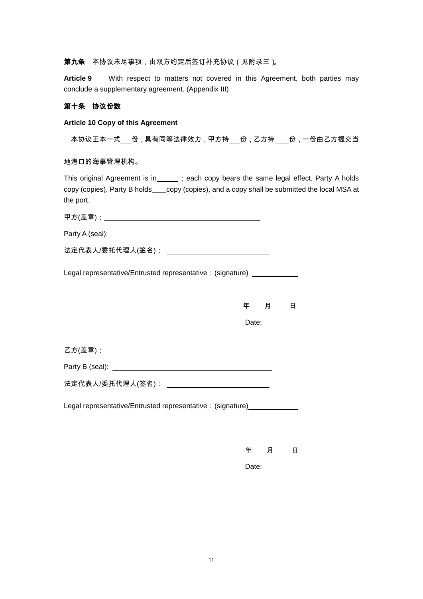## 第九条 本协议未尽事项,由双方约定后签订补充协议(见附录三)。

**Article 9** With respect to matters not covered in this Agreement, both parties may conclude a supplementary agreement. (Appendix III)

## 第十条协议份数

### **Article 10 Copy of this Agreement**

本协议正本一式\_\_\_份,具有同等法律效力,甲方持\_\_\_份,乙方持\_\_\_\_份,一份由乙方提交当

地港口的海事管理机构。

This original Agreement is in\_\_\_\_\_\_; each copy bears the same legal effect. Party A holds copy (copies), Party B holds copy (copies), and a copy shall be submitted the local MSA at the port.

| 法定代表人/委托代理人(签名): _________________________________                       |       |                       |   |
|--------------------------------------------------------------------------|-------|-----------------------|---|
| Legal representative/Entrusted representative: (signature) ____________  |       |                       |   |
|                                                                          |       | いちょう 年のの月 コンファル りょうかい | 日 |
|                                                                          | Date: |                       |   |
|                                                                          |       |                       |   |
|                                                                          |       |                       |   |
|                                                                          |       |                       |   |
| 法定代表人/委托代理人(签名): ________________________________                        |       |                       |   |
| Legal representative/Entrusted representative: (signature)______________ |       |                       |   |
|                                                                          |       |                       |   |

年 月 日

Date: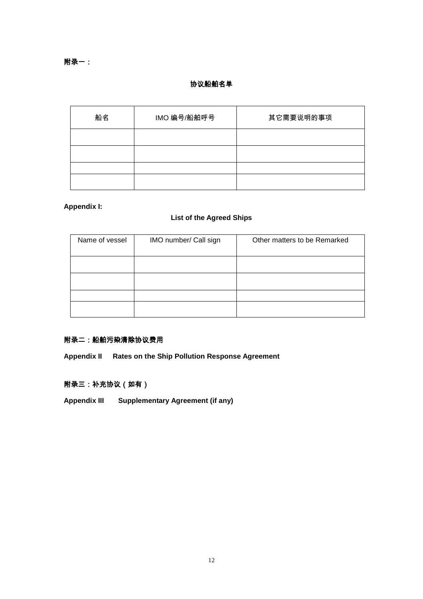# 协议船舶名单

| 船名 |  | IMO 编号/船舶呼号 | 其它需要说明的事项 |  |  |
|----|--|-------------|-----------|--|--|
|    |  |             |           |  |  |
|    |  |             |           |  |  |
|    |  |             |           |  |  |
|    |  |             |           |  |  |

## **Appendix I:**

# **List of the Agreed Ships**

| Name of vessel | IMO number/ Call sign | Other matters to be Remarked |  |  |
|----------------|-----------------------|------------------------------|--|--|
|                |                       |                              |  |  |
|                |                       |                              |  |  |
|                |                       |                              |  |  |
|                |                       |                              |  |  |

# 附录二:船舶污染清除协议费用

**Appendix II Rates on the Ship Pollution Response Agreement**

# 附录三:补充协议(如有)

**Appendix III Supplementary Agreement (if any)**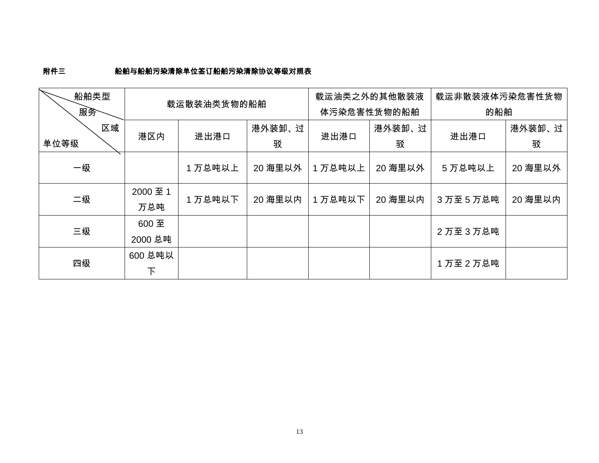# 附件三船舶与船舶污染清除单位签订船舶污染清除协议等级对照表

| 船舶类型 |             |         |         | 载运油类之外的其他散装液 |         | 载运非散装液体污染危害性货物 |         |
|------|-------------|---------|---------|--------------|---------|----------------|---------|
| 服务   | 载运散装油类货物的船舶 |         |         | 体污染危害性货物的船舶  |         | 的船舶            |         |
| 区域   |             | 港外装卸、过  |         | 港外装卸、过       |         | 港外装卸、过         |         |
| 单位等级 | 港区内         | 进出港口    | 驳       | 进出港口         | 驳       | 进出港口           | 驳       |
| 一级   |             | 1万总吨以上  | 20 海里以外 | 1万总吨以上       | 20 海里以外 | 5 万总吨以上        | 20 海里以外 |
| 二级   | 2000 至 1    | 1 万总吨以下 | 20 海里以内 | 1 万总吨以下      | 20 海里以内 | 3万至5万总吨        | 20 海里以内 |
|      | 万总吨         |         |         |              |         |                |         |
| 三级   | 600 至       |         |         |              |         | 2万至3万总吨        |         |
|      | 2000 总吨     |         |         |              |         |                |         |
| 四级   | 600 总吨以     |         |         |              |         | 1万至2万总吨        |         |
|      | 下           |         |         |              |         |                |         |